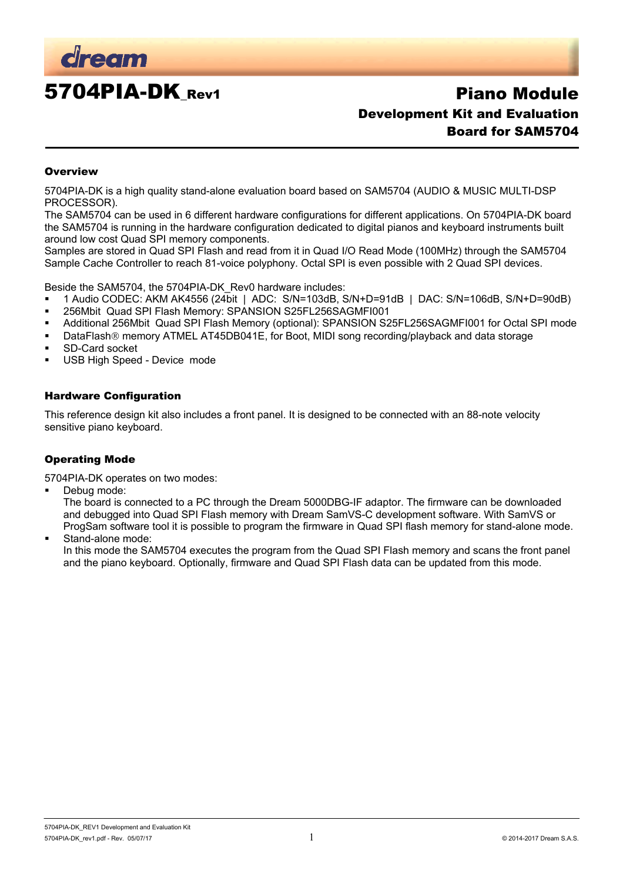

5704PIA-DK Rev1 Piano Module Development Kit and Evaluation Board for SAM5704

#### **Overview**

5704PIA-DK is a high quality stand-alone evaluation board based on SAM5704 (AUDIO & MUSIC MULTI-DSP PROCESSOR).

The SAM5704 can be used in 6 different hardware configurations for different applications. On 5704PIA-DK board the SAM5704 is running in the hardware configuration dedicated to digital pianos and keyboard instruments built around low cost Quad SPI memory components.

Samples are stored in Quad SPI Flash and read from it in Quad I/O Read Mode (100MHz) through the SAM5704 Sample Cache Controller to reach 81-voice polyphony. Octal SPI is even possible with 2 Quad SPI devices.

Beside the SAM5704, the 5704PIA-DK\_Rev0 hardware includes:

- 1 Audio CODEC: AKM AK4556 (24bit | ADC: S/N=103dB, S/N+D=91dB | DAC: S/N=106dB, S/N+D=90dB)
- 256Mbit Quad SPI Flash Memory: SPANSION S25FL256SAGMFI001
- Additional 256Mbit Quad SPI Flash Memory (optional): SPANSION S25FL256SAGMFI001 for Octal SPI mode
- DataFlash<sup>®</sup> memory ATMEL AT45DB041E, for Boot, MIDI song recording/playback and data storage
- SD-Card socket
- **USB High Speed Device mode**

#### Hardware Configuration

This reference design kit also includes a front panel. It is designed to be connected with an 88-note velocity sensitive piano keyboard.

#### Operating Mode

5704PIA-DK operates on two modes:

Debug mode:

The board is connected to a PC through the Dream 5000DBG-IF adaptor. The firmware can be downloaded and debugged into Quad SPI Flash memory with Dream SamVS-C development software. With SamVS or ProgSam software tool it is possible to program the firmware in Quad SPI flash memory for stand-alone mode. Stand-alone mode:

In this mode the SAM5704 executes the program from the Quad SPI Flash memory and scans the front panel and the piano keyboard. Optionally, firmware and Quad SPI Flash data can be updated from this mode.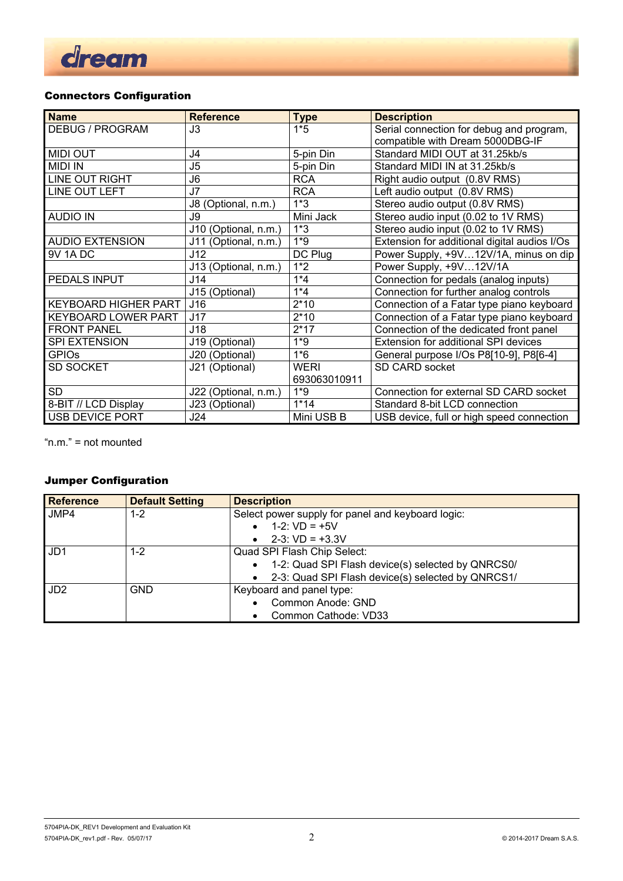

# Connectors Configuration

| <b>Name</b>                 | <b>Reference</b>     | <b>Type</b>  | <b>Description</b>                           |
|-----------------------------|----------------------|--------------|----------------------------------------------|
| <b>DEBUG / PROGRAM</b>      | J3                   | $1*5$        | Serial connection for debug and program,     |
|                             |                      |              | compatible with Dream 5000DBG-IF             |
| <b>MIDI OUT</b>             | J4                   | 5-pin Din    | Standard MIDI OUT at 31.25kb/s               |
| <b>MIDI IN</b>              | J5                   | 5-pin Din    | Standard MIDI IN at 31.25kb/s                |
| <b>LINE OUT RIGHT</b>       | J6                   | <b>RCA</b>   | Right audio output (0.8V RMS)                |
| LINE OUT LEFT               | J7                   | <b>RCA</b>   | Left audio output (0.8V RMS)                 |
|                             | J8 (Optional, n.m.)  | $1*3$        | Stereo audio output (0.8V RMS)               |
| <b>AUDIO IN</b>             | J9                   | Mini Jack    | Stereo audio input (0.02 to 1V RMS)          |
|                             | J10 (Optional, n.m.) | $1*3$        | Stereo audio input (0.02 to 1V RMS)          |
| <b>AUDIO EXTENSION</b>      | J11 (Optional, n.m.) | $1*9$        | Extension for additional digital audios I/Os |
| 9V 1A DC                    | J12                  | DC Plug      | Power Supply, +9V12V/1A, minus on dip        |
|                             | J13 (Optional, n.m.) | $1*2$        | Power Supply, +9V12V/1A                      |
| PEDALS INPUT                | J14                  | $1*4$        | Connection for pedals (analog inputs)        |
|                             | J15 (Optional)       | $1*4$        | Connection for further analog controls       |
| <b>KEYBOARD HIGHER PART</b> | J16                  | $2*10$       | Connection of a Fatar type piano keyboard    |
| <b>KEYBOARD LOWER PART</b>  | J17                  | $2*10$       | Connection of a Fatar type piano keyboard    |
| <b>FRONT PANEL</b>          | J18                  | $2*17$       | Connection of the dedicated front panel      |
| <b>SPI EXTENSION</b>        | J19 (Optional)       | $1*9$        | Extension for additional SPI devices         |
| <b>GPIOs</b>                | J20 (Optional)       | $1*6$        | General purpose I/Os P8[10-9], P8[6-4]       |
| <b>SD SOCKET</b>            | J21 (Optional)       | <b>WERI</b>  | SD CARD socket                               |
|                             |                      | 693063010911 |                                              |
| <b>SD</b>                   | J22 (Optional, n.m.) | $1*9$        | Connection for external SD CARD socket       |
| 8-BIT // LCD Display        | J23 (Optional)       | $1*14$       | Standard 8-bit LCD connection                |
| <b>USB DEVICE PORT</b>      | J24                  | Mini USB B   | USB device, full or high speed connection    |

"n.m." = not mounted

## Jumper Configuration

| <b>Reference</b> | <b>Default Setting</b> | <b>Description</b>                                             |  |
|------------------|------------------------|----------------------------------------------------------------|--|
| JMP4             | $1 - 2$                | Select power supply for panel and keyboard logic:              |  |
|                  |                        | • $1-2$ : $VD = +5V$                                           |  |
|                  |                        | $2-3$ : VD = +3.3V<br>$\bullet$                                |  |
| JD <sub>1</sub>  | $1 - 2$                | Quad SPI Flash Chip Select:                                    |  |
|                  |                        | 1-2: Quad SPI Flash device(s) selected by QNRCS0/<br>$\bullet$ |  |
|                  |                        | 2-3: Quad SPI Flash device(s) selected by QNRCS1/<br>$\bullet$ |  |
| JD <sub>2</sub>  | GND.                   | Keyboard and panel type:                                       |  |
|                  |                        | Common Anode: GND<br>$\bullet$                                 |  |
|                  |                        | Common Cathode: VD33<br>٠                                      |  |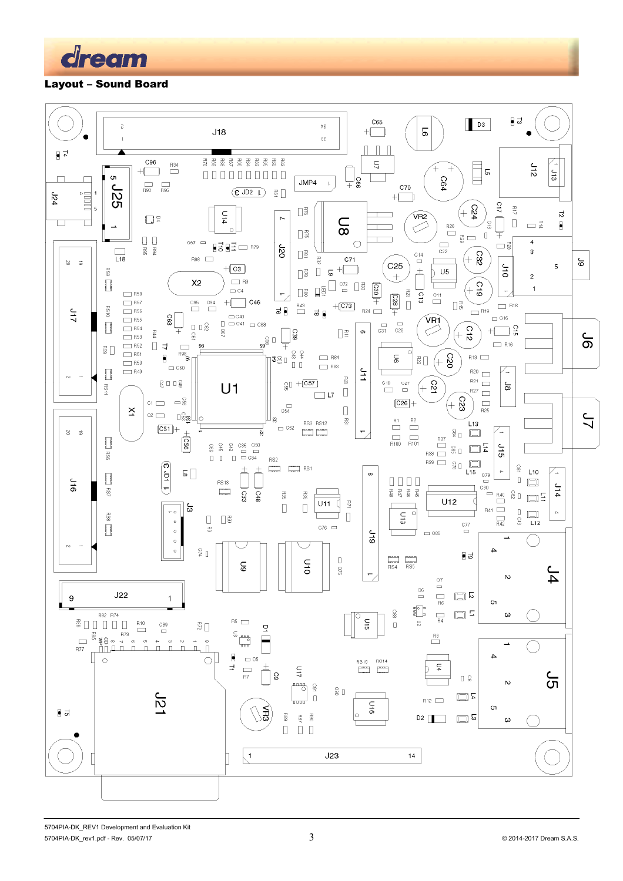

#### Layout – Sound Board

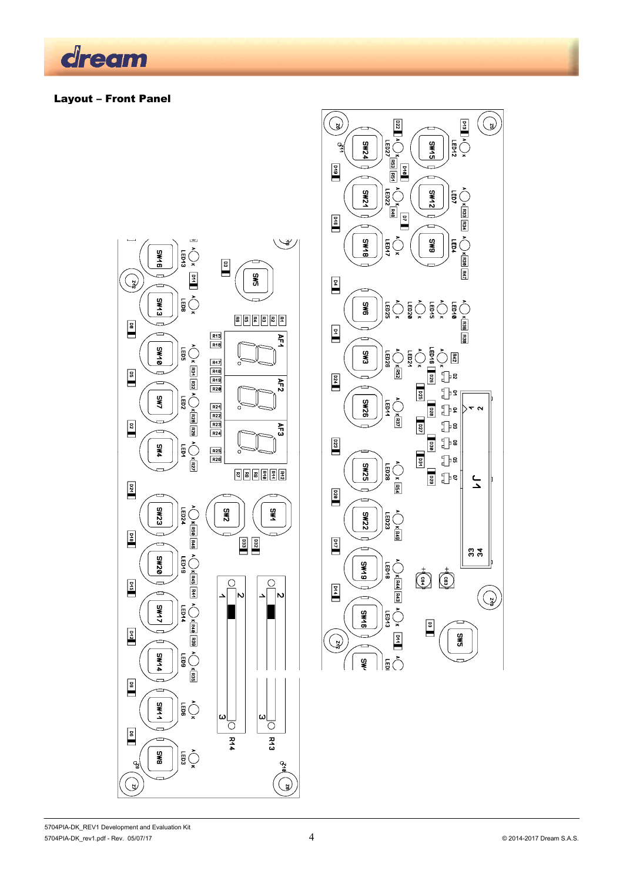

#### Layout – Front Panel



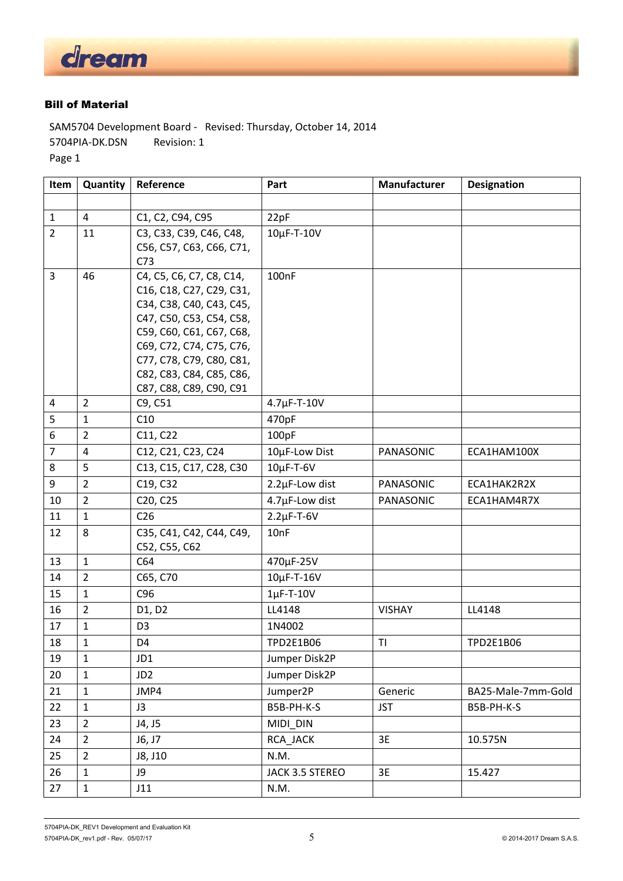

### Bill of Material

 $\overline{\phantom{a}}$ 

SAM5704 Development Board ‐ Revised: Thursday, October 14, 2014 5704PIA-DK.DSN Revision: 1 Page 1

| Item           | Quantity       | Reference                                            | Part                  | Manufacturer   | <b>Designation</b> |
|----------------|----------------|------------------------------------------------------|-----------------------|----------------|--------------------|
|                |                |                                                      |                       |                |                    |
| $\mathbf{1}$   | $\overline{4}$ | C1, C2, C94, C95                                     | 22pF                  |                |                    |
| $\overline{2}$ | 11             | C3, C33, C39, C46, C48,                              | 10µF-T-10V            |                |                    |
|                |                | C56, C57, C63, C66, C71,                             |                       |                |                    |
|                |                | C <sub>73</sub>                                      |                       |                |                    |
| 3              | 46             | C4, C5, C6, C7, C8, C14,                             | 100nF                 |                |                    |
|                |                | C16, C18, C27, C29, C31,                             |                       |                |                    |
|                |                | C34, C38, C40, C43, C45,                             |                       |                |                    |
|                |                | C47, C50, C53, C54, C58,                             |                       |                |                    |
|                |                | C59, C60, C61, C67, C68,                             |                       |                |                    |
|                |                | C69, C72, C74, C75, C76,<br>C77, C78, C79, C80, C81, |                       |                |                    |
|                |                | C82, C83, C84, C85, C86,                             |                       |                |                    |
|                |                | C87, C88, C89, C90, C91                              |                       |                |                    |
| 4              | $\overline{2}$ | C9, C51                                              | $4.7 \mu F - T - 10V$ |                |                    |
| 5              | $\mathbf{1}$   | C10                                                  | 470pF                 |                |                    |
| 6              | $\overline{2}$ | C11, C22                                             | 100pF                 |                |                    |
| $\overline{7}$ | $\overline{a}$ | C12, C21, C23, C24                                   | 10µF-Low Dist         | PANASONIC      | ECA1HAM100X        |
| 8              | 5              | C13, C15, C17, C28, C30                              | $10\mu$ F-T-6V        |                |                    |
| 9              | $\overline{2}$ | C19, C32                                             | 2.2µF-Low dist        | PANASONIC      | ECA1HAK2R2X        |
| 10             | $\overline{2}$ | C20, C25                                             | 4.7µF-Low dist        | PANASONIC      | ECA1HAM4R7X        |
| 11             | $\mathbf{1}$   | C <sub>26</sub>                                      | $2.2 \mu F - T - 6V$  |                |                    |
| 12             | 8              | C35, C41, C42, C44, C49,                             | 10nF                  |                |                    |
|                |                | C52, C55, C62                                        |                       |                |                    |
| 13             | $\mathbf{1}$   | C64                                                  | 470µF-25V             |                |                    |
| 14             | $\overline{2}$ | C65, C70                                             | $10\mu$ F-T- $16V$    |                |                    |
| 15             | $\mathbf{1}$   | C96                                                  | $1\mu$ F-T- $10V$     |                |                    |
| 16             | $\overline{2}$ | D1, D2                                               | LL4148                | <b>VISHAY</b>  | LL4148             |
| 17             | $\mathbf{1}$   | D <sub>3</sub>                                       | 1N4002                |                |                    |
| 18             | $\mathbf{1}$   | D4                                                   | TPD2E1B06             | T <sub>l</sub> | TPD2E1B06          |
| 19             | $\mathbf{1}$   | JD1                                                  | Jumper Disk2P         |                |                    |
| 20             | $\mathbf{1}$   | JD <sub>2</sub>                                      | Jumper Disk2P         |                |                    |
| 21             | $\mathbf{1}$   | JMP4                                                 | Jumper2P              | Generic        | BA25-Male-7mm-Gold |
| 22             | $\mathbf{1}$   | J3                                                   | B5B-PH-K-S            | <b>JST</b>     | B5B-PH-K-S         |
| 23             | $\overline{2}$ | J4, J5                                               | MIDI_DIN              |                |                    |
| 24             | $\overline{2}$ | J6, J7                                               | RCA_JACK              | 3E             | 10.575N            |
| 25             | $\overline{2}$ | J8, J10                                              | N.M.                  |                |                    |
| 26             | $\mathbf{1}$   | J9                                                   | JACK 3.5 STEREO       | 3E             | 15.427             |
| 27             | $\mathbf{1}$   | J11                                                  | N.M.                  |                |                    |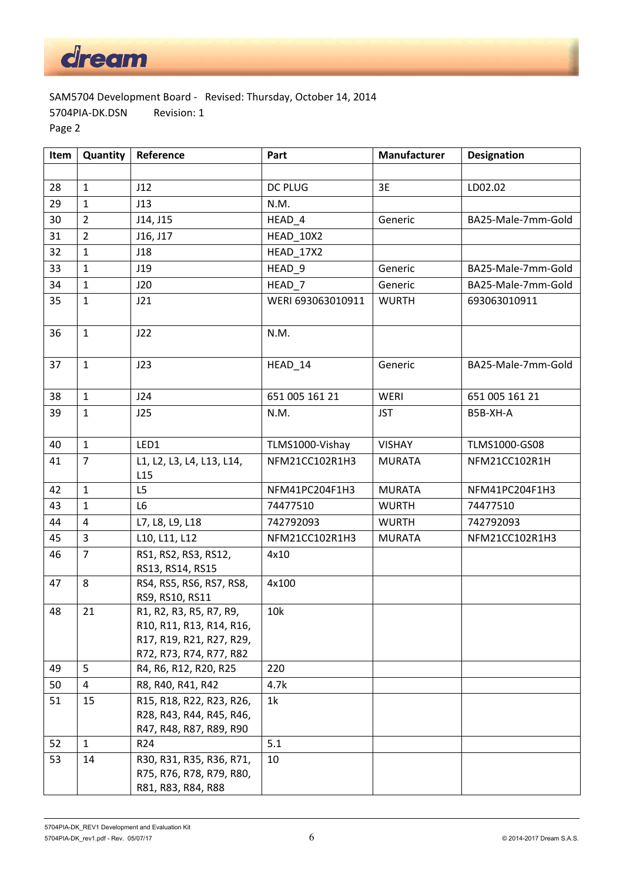

SAM5704 Development Board ‐ Revised: Thursday, October 14, 2014 5704PIA-DK.DSN Revision: 1 Page 2

| Item | Quantity       | Reference                                                                                                  | Part               | Manufacturer  | <b>Designation</b> |
|------|----------------|------------------------------------------------------------------------------------------------------------|--------------------|---------------|--------------------|
|      |                |                                                                                                            |                    |               |                    |
| 28   | $\mathbf{1}$   | J12                                                                                                        | <b>DC PLUG</b>     | 3E            | LD02.02            |
| 29   | $\mathbf{1}$   | J13                                                                                                        | N.M.               |               |                    |
| 30   | $\overline{2}$ | J14, J15                                                                                                   | HEAD_4             | Generic       | BA25-Male-7mm-Gold |
| 31   | $\overline{2}$ | J16, J17                                                                                                   | HEAD_10X2          |               |                    |
| 32   | $\mathbf{1}$   | J18                                                                                                        | <b>HEAD_17X2</b>   |               |                    |
| 33   | $\mathbf{1}$   | J19                                                                                                        | HEAD <sub>_9</sub> | Generic       | BA25-Male-7mm-Gold |
| 34   | $\mathbf{1}$   | J20                                                                                                        | HEAD_7             | Generic       | BA25-Male-7mm-Gold |
| 35   | $\mathbf{1}$   | J21                                                                                                        | WERI 693063010911  | <b>WURTH</b>  | 693063010911       |
| 36   | $\mathbf{1}$   | J22                                                                                                        | N.M.               |               |                    |
| 37   | $\mathbf{1}$   | J23                                                                                                        | HEAD_14            | Generic       | BA25-Male-7mm-Gold |
| 38   | $\mathbf{1}$   | J24                                                                                                        | 651 005 161 21     | WERI          | 651 005 161 21     |
| 39   | $\mathbf{1}$   | J25                                                                                                        | N.M.               | <b>JST</b>    | B5B-XH-A           |
| 40   | $\mathbf{1}$   | LED1                                                                                                       | TLMS1000-Vishay    | <b>VISHAY</b> | TLMS1000-GS08      |
| 41   | $\overline{7}$ | L1, L2, L3, L4, L13, L14,<br>L15                                                                           | NFM21CC102R1H3     | <b>MURATA</b> | NFM21CC102R1H      |
| 42   | $\mathbf{1}$   | L <sub>5</sub>                                                                                             | NFM41PC204F1H3     | <b>MURATA</b> | NFM41PC204F1H3     |
| 43   | $\mathbf{1}$   | L <sub>6</sub>                                                                                             | 74477510           | <b>WURTH</b>  | 74477510           |
| 44   | 4              | L7, L8, L9, L18                                                                                            | 742792093          | <b>WURTH</b>  | 742792093          |
| 45   | $\overline{3}$ | L10, L11, L12                                                                                              | NFM21CC102R1H3     | <b>MURATA</b> | NFM21CC102R1H3     |
| 46   | $\overline{7}$ | RS1, RS2, RS3, RS12,<br>RS13, RS14, RS15                                                                   | 4x10               |               |                    |
| 47   | 8              | RS4, RS5, RS6, RS7, RS8,<br>RS9, RS10, RS11                                                                | 4x100              |               |                    |
| 48   | 21             | R1, R2, R3, R5, R7, R9,<br>R10, R11, R13, R14, R16,<br>R17, R19, R21, R27, R29,<br>R72, R73, R74, R77, R82 | 10k                |               |                    |
| 49   | 5              | R4, R6, R12, R20, R25                                                                                      | 220                |               |                    |
| 50   | 4              | R8, R40, R41, R42                                                                                          | 4.7k               |               |                    |
| 51   | 15             | R15, R18, R22, R23, R26,<br>R28, R43, R44, R45, R46,<br>R47, R48, R87, R89, R90                            | 1k                 |               |                    |
| 52   | $\mathbf{1}$   | R <sub>24</sub>                                                                                            | 5.1                |               |                    |
| 53   | 14             | R30, R31, R35, R36, R71,<br>R75, R76, R78, R79, R80,<br>R81, R83, R84, R88                                 | 10                 |               |                    |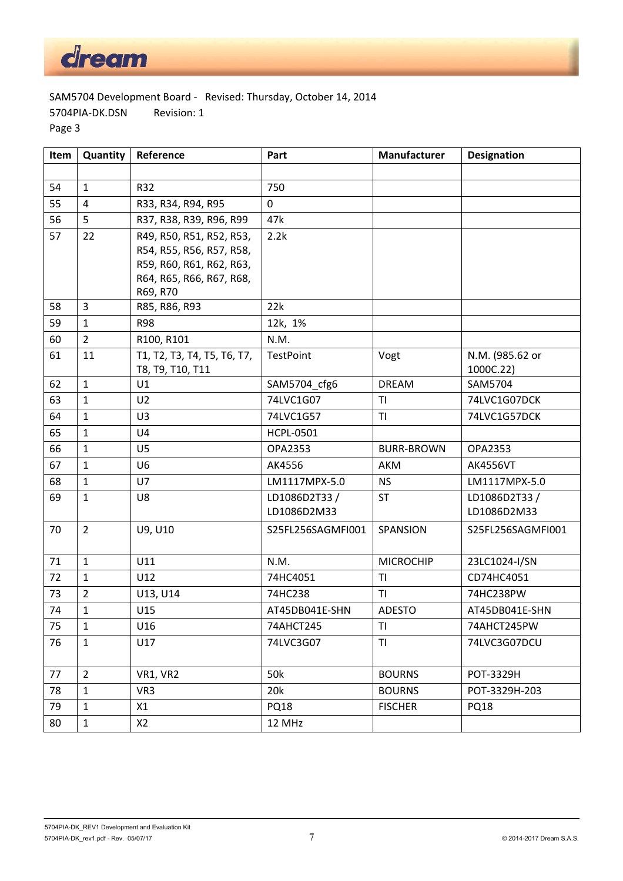

SAM5704 Development Board ‐ Revised: Thursday, October 14, 2014 5704PIA‐DK.DSN Revision: 1 Page 3

**Item Quantity Reference Part Manufacturer Designation** 54 1 R32 750 55 4 R33, R34, R94, R95 0 56 5 R37, R38, R39, R96, R99 47k 57 22 R49, R50, R51, R52, R53, R54, R55, R56, R57, R58, R59, R60, R61, R62, R63, R64, R65, R66, R67, R68, R69, R70 2.2k 58 3 R85, R86, R93 22k 59 1 R98 12k, 1% 60 2 R100, R101 N.M. 61 11 T1, T2, T3, T4, T5, T6, T7, T8, T9, T10, T11 TestPoint Vogt N.M. (985.62 or 1000C.22) 62 1 U1 SAM5704 cfg6 DREAM SAM5704 63 1 U2 74LVC1G07 TI 74LVC1G07DCK 64 1 U3 74LVC1G57 TI 74LVC1G57DCK 65 1 U4 HCPL‐0501 66 | 1 | U5 | OPA2353 | BURR-BROWN | OPA2353 67 | 1 | U6 | AK4556 | AKM | AK4556VT 68 | 1 U7 LM1117MPX−5.0 NS LM1117MPX−5.0 69 1 U8 LD1086D2T33 / LD1086D2M33 ST LD1086D2T33 / LD1086D2M33 70 2 U9, U10 S25FL256SAGMFI001 SPANSION S25FL256SAGMFI001 71 | 1 | U11 | N.M. | MICROCHIP | 23LC1024-I/SN 72 1 U12 74HC4051 TI CD74HC4051 73 2 U13, U14 74HC238 TI 74HC238PW 74 | 1 U15 U15 AT45DB041E‐SHN ADESTO AT45DB041E‐SHN 75 1 U16 74AHCT245 TI 74AHCT245PW 76 1 U17 74LVC3G07 TI 74LVC3G07DCU 77 | 2 | VR1, VR2 | SOk | BOURNS | POT-3329H 78 | 1 | VR3 | 20k BOURNS | POT-3329H-203 79 1 X1 PQ18 FISCHER PQ18 80 | 1 | X2 | 12 MHz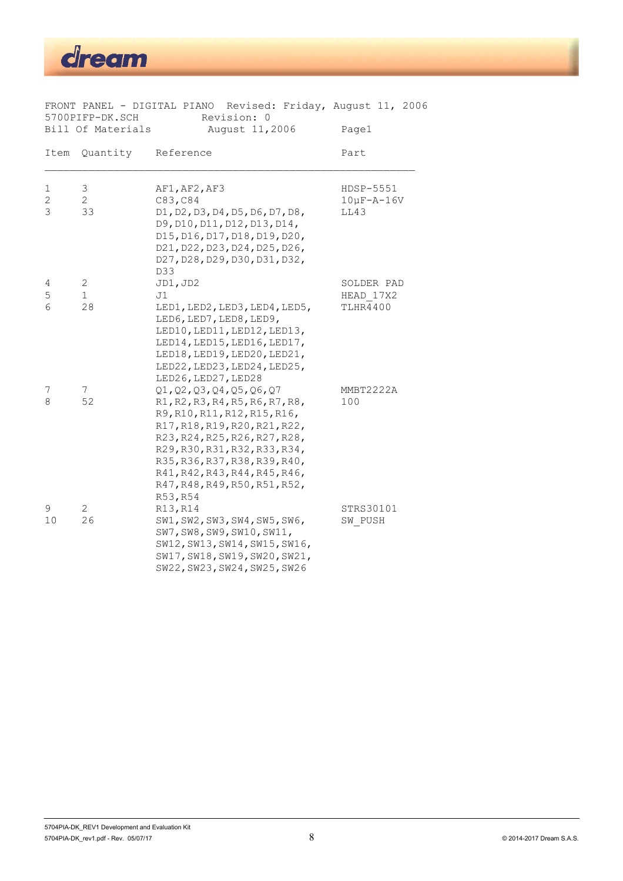| Revised: Friday, August 11, 2006<br>FRONT PANEL - DIGITAL PIANO<br>Revision: 0<br>5700PIFP-DK.SCH<br>Bill Of Materials<br>August 11, 2006<br>Page1 |                           |                                                                                                                                                                                                                                                                                                                 |                                            |  |
|----------------------------------------------------------------------------------------------------------------------------------------------------|---------------------------|-----------------------------------------------------------------------------------------------------------------------------------------------------------------------------------------------------------------------------------------------------------------------------------------------------------------|--------------------------------------------|--|
| Item                                                                                                                                               | Quantity                  | Reference                                                                                                                                                                                                                                                                                                       | Part                                       |  |
| 1<br>2<br>3                                                                                                                                        | 3<br>$\overline{2}$<br>33 | AF1, AF2, AF3<br>C83, C84<br>D1, D2, D3, D4, D5, D6, D7, D8,<br>D9, D10, D11, D12, D13, D14,<br>D15, D16, D17, D18, D19, D20,<br>D21, D22, D23, D24, D25, D26,<br>D27, D28, D29, D30, D31, D32,                                                                                                                 | $HDSP-5551$<br>$10\mu F - A - 16V$<br>LL43 |  |
| 4<br>5<br>6                                                                                                                                        | 2<br>1<br>28              | D33<br>JD1, JD2<br>J1<br>LED1, LED2, LED3, LED4, LED5,<br>LED6, LED7, LED8, LED9,<br>LED10, LED11, LED12, LED13,<br>LED14, LED15, LED16, LED17,<br>LED18, LED19, LED20, LED21,<br>LED22, LED23, LED24, LED25,<br>LED26, LED27, LED28                                                                            | SOLDER PAD<br>HEAD 17X2<br>TLHR4400        |  |
| 7<br>8                                                                                                                                             | 7<br>52                   | Q1, Q2, Q3, Q4, Q5, Q6, Q7<br>R1, R2, R3, R4, R5, R6, R7, R8,<br>R9, R10, R11, R12, R15, R16,<br>R17, R18, R19, R20, R21, R22,<br>R23, R24, R25, R26, R27, R28,<br>R29, R30, R31, R32, R33, R34,<br>R35, R36, R37, R38, R39, R40,<br>R41, R42, R43, R44, R45, R46,<br>R47, R48, R49, R50, R51, R52,<br>R53, R54 | MMBT2222A<br>100                           |  |
| 9<br>10                                                                                                                                            | 2<br>26                   | R13, R14<br>SW1, SW2, SW3, SW4, SW5, SW6,<br>SW7, SW8, SW9, SW10, SW11,<br>SW12, SW13, SW14, SW15, SW16,<br>SW17, SW18, SW19, SW20, SW21,<br>SW22, SW23, SW24, SW25, SW26                                                                                                                                       | STRS30101<br>SW PUSH                       |  |

dream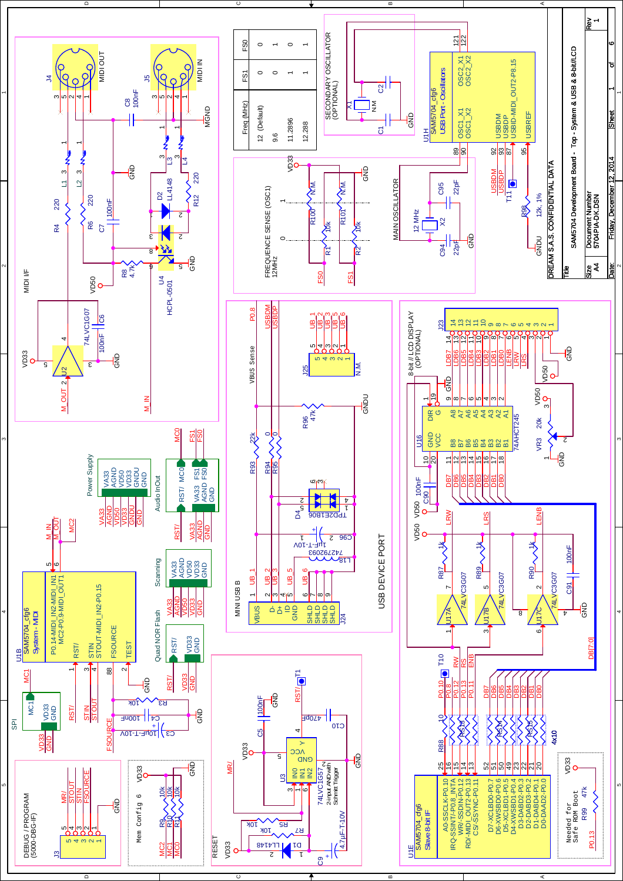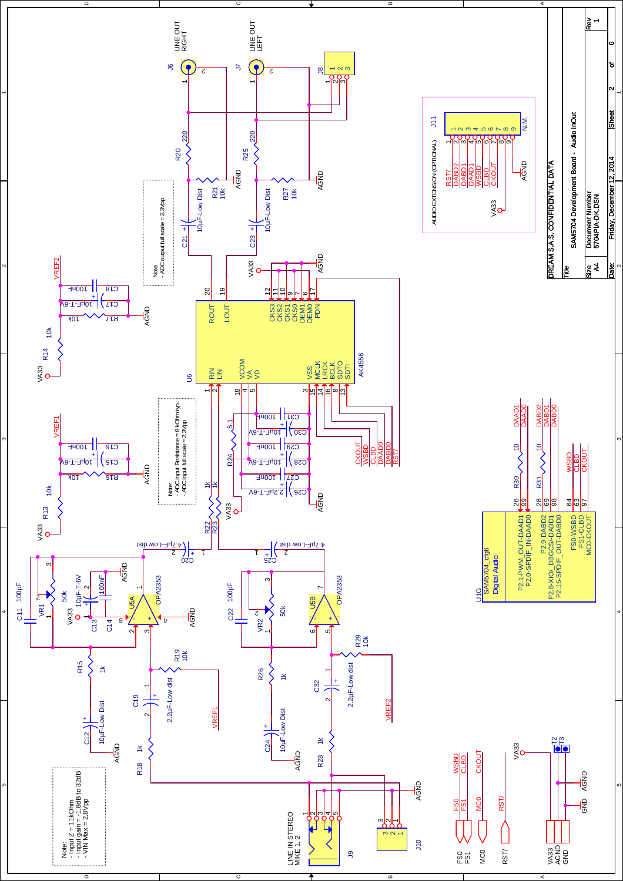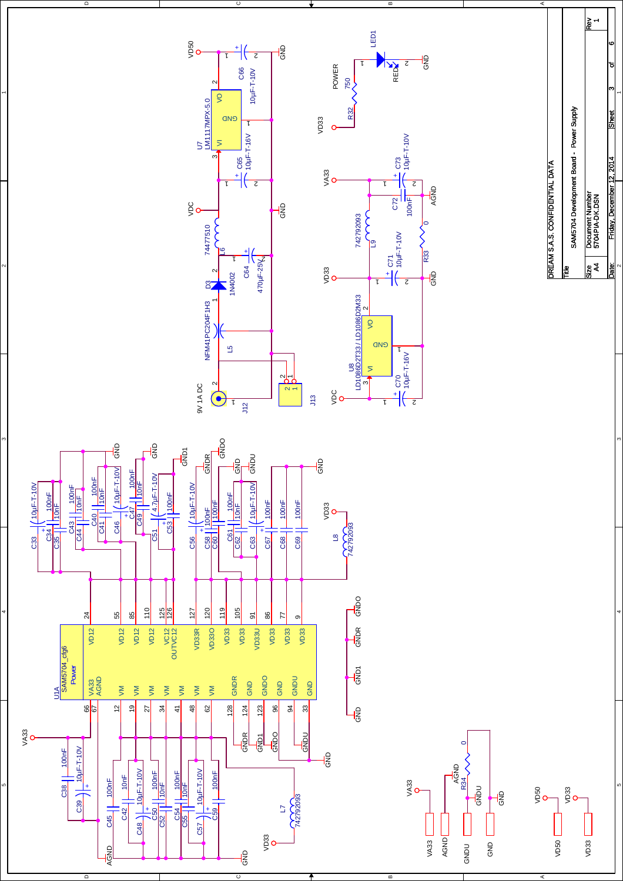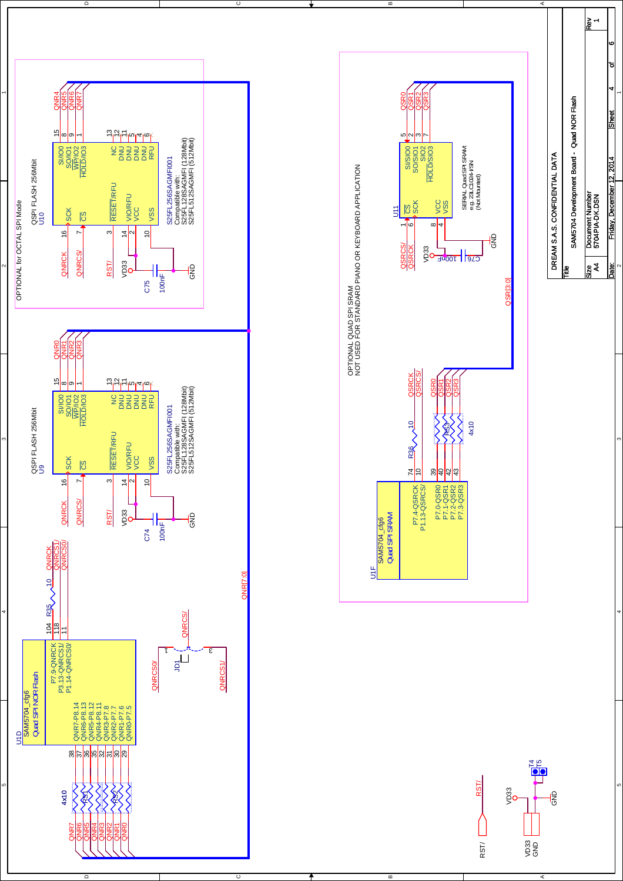

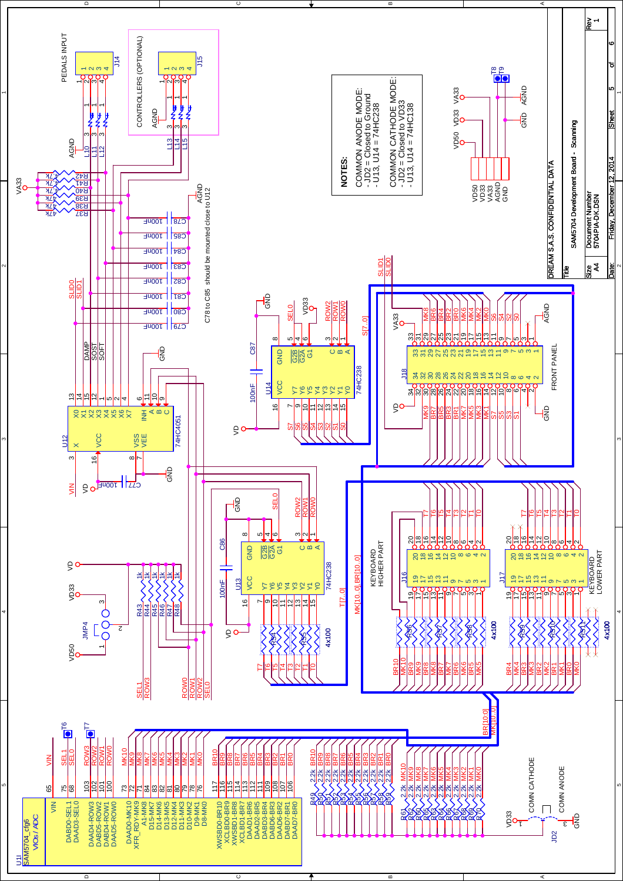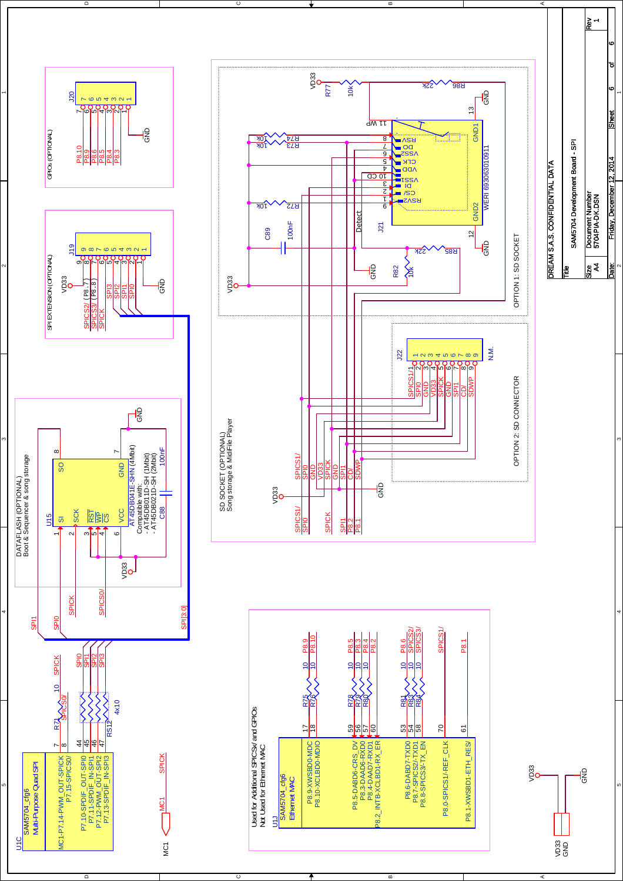



 $\overline{\omega}$ 





ء

4

 $\scriptstyle\sim$ 

<u>Date:</u>

e<br>H

**Size**<br>44<br>Size

Document Number<br>5704PIA-DK.DSN

SAM5704 Development Board - SPI

SAM5704 Development Board - SPI

 $\overline{\phantom{a}}$ 

ه<br>5<br>©

 $\sigma$  $\bullet$ 

Date: Friday. December 12, 2014 Sheet 6 of

Sheet

Friday, December 12, 2014

Friday, December 12, 2014

Size Document Number Rev

5704PIA-DK.DSN 1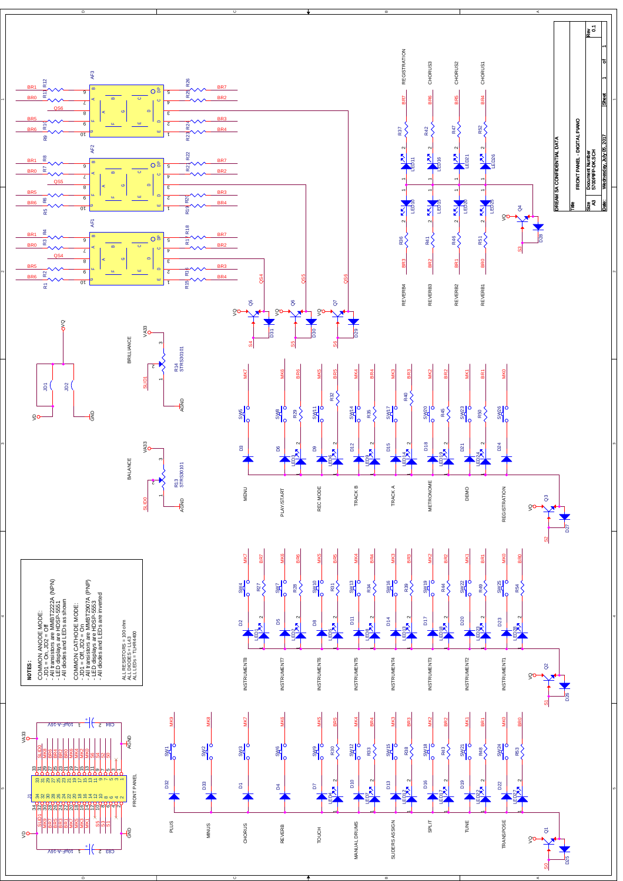